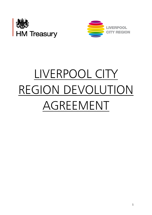



# LIVERPOOL CITY REGION DEVOLUTION AGREEMENT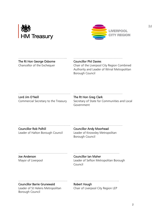



 $[L]$ 

………………………………………... ………………………………………… The Rt Hon George Osborne **Councillor Phil Davies** 

Chancellor of the Exchequer Chair of the Liverpool City Region Combined Authority and Leader of Wirral Metropolitan Borough Council

# Lord Jim O'Neill **The Rt Hon Greg Clark**<br>Commercial Secretary to the Treasury Secretary of State for C

#### …………………………………………… …………………………………………

Secretary of State for Communities and Local Government

 $\mathcal{L}^{\text{max}}$ Councillor Rob Polhill Councillor Andy Moorhead Leader of Halton Borough Council Leader of Knowsley Metropolitan

Borough Council

Joe Anderson Councillor Ian Maher

………………………………………… ………………………………………

Mayor of Liverpool **Leader of Sefton Metropolitan Borough** Council

Councillor Barrie Grunewald Robert Hough

Leader of St Helens Metropolitan Chair of Liverpool City Region LEP Borough Council

………………………………………… ……………………………………..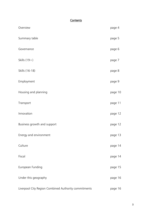## **Contents**

| Overview                                             | page 4  |
|------------------------------------------------------|---------|
| Summary table                                        | page 5  |
| Governance                                           | page 6  |
| Skills $(19+)$                                       | page 7  |
| Skills (16-18)                                       | page 8  |
| Employment                                           | page 9  |
| Housing and planning                                 | page 10 |
| Transport                                            | page 11 |
| Innovation                                           | page 12 |
| Business growth and support                          | page 12 |
| Energy and environment                               | page 13 |
| Culture                                              | page 14 |
| Fiscal                                               | page 14 |
| European Funding                                     | page 15 |
| Under this geography                                 | page 16 |
| Liverpool City Region Combined Authority commitments | page 16 |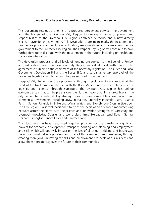#### Liverpool City Region Combined Authority Devolution Agreement

This document sets out the terms of a proposed agreement between the government and the leaders of the Liverpool City Region to devolve a range of powers and responsibilities to the Liverpool City Region Combined Authority and a new directly elected mayor for the city region. This Devolution Agreement marks the next step in a progressive process of devolution of funding, responsibilities and powers from central government to the Liverpool City Region. The Liverpool City Region will continue to have further devolution dialogue with the government in the future, including on health and social care integration.

The devolution proposal and all levels of funding are subject to the Spending Review and ratification from the Liverpool City Region individual local authorities. agreement is subject to the enactment of the necessary legislation (The Cities and Local Government Devolution Bill and the Buses Bill), and to parliamentary approval of the secondary legislation implementing the provisions of this agreement.

Liverpool City Region has the opportunity, through devolution, to ensure it is at the heart of the Northern Powerhouse. With the River Mersey and the integrated cluster of logistics and expertise through Superport, The Liverpool City Region has unique economic assets that can help transform the Northern economy. In its growth plan, the City Region has a network key strategic sites to drive forward business growth and commercial investments including 3MG in Halton, Knowsley Industrial Park, Atlantic Park in Sefton, Parkside in St Helens, Wirral Waters and Stonebridge Cross in Liverpool. The City Region is also well positioned to be at the heart of an advanced manufacturing network across the North with the science and innovation strengths at Daresbury and Liverpool Knowledge Quarter and world class firms like Jaguar Land Rover, Getrag, Unilever, Pilkington's Ineos Chlor and Cammell Laird.

This document we have negotiated together provides for the transfer of significant powers for economic development, transport, housing and planning and employment and skills which will positively impact on the lives of all of our residents and businesses. Devolution must deliver opportunities for all of those residents and businesses, through creating more jobs, improving the skills and employment prospects of our residents and allow them a greater say over the future of their communities.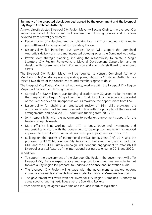Summary of the proposed devolution deal agreed by the government and the Liverpool City Region Combined Authority.

A new, directly elected Liverpool City Region Mayor will act as Chair to the Liverpool City Region Combined Authority and will exercise the following powers and functions devolved from central government:

- Responsibility for a devolved and consolidated local transport budget, with a multiyear settlement to be agreed at the Spending Review.
- Responsibility for franchised bus services, which will support the Combined Authority's delivery of smart and integrated ticketing across the Combined Authority.
- Powers over strategic planning, including the responsibility to create a Single Statutory City Region Framework, a Mayoral Development Corporation and to develop with government a Land Commission and a Joint Assets Board for economic assets.

 The Liverpool City Region Mayor will be required to consult Combined Authority Members on his/her strategies and spending plans, which the Combined Authority may reject if two-thirds of the constituent council members agree to do so.

 The Liverpool City Region Combined Authority, working with the Liverpool City Region Mayor, will receive the following powers:

- Control of a £30 million a year funding allocation over 30 years, to be invested in the Liverpool City Region Single Investment Fund, to unlock the economic potential of the River Mersey and Superport as well as maximise the opportunities from HS2.
- Responsibility for chairing an area-based review of 16+ skills provision, the outcomes of which will be taken forward in line with the principles of the devolved arrangements, and devolved  $19+$  adult skills funding from 2018/19.
- Joint responsibility with the government to co-design employment support for the harder-to-help claimants.
- More effective joint working with UKTI to boost trade and investment, and responsibility to work with the government to develop and implement a devolved approach to the delivery of national business support programmes from 2017.
- Building on the success of International Festival for Business (IFB) 2014 and the proposals for IFB 2016, Liverpool City Region and the government, and in particular UKTI and the GREAT Britain campaign, will continue engagement to establish IFB Liverpool as a vital feature of the international business calendar in 2018 and 2020.

In addition:

- To support the development of the Liverpool City Region, the government will offer Liverpool City Region expert advice and support to ensure they are able to put forward a City Region led proposal to undertake a Science and Innovation audit.
- The Liverpool City Region will engage with the government to explore options around a sustainable and viable business model for National Museums Liverpool.
- The government will work with the Liverpool City Region Combined Authority to agree specific funding flexibilities after the Spending Review.

Further powers may be agreed over time and included in future legislation.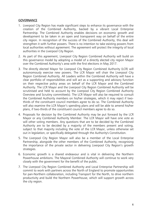#### **GOVERNANCE**

- 1. Liverpool City Region has made significant steps to enhance its governance with the creation of the Combined Authority, backed by a vibrant Local Enterprise Partnership. The Combined Authority enables decisions on economic growth and development to be taken in an open and transparent way on behalf of the entire city region. In recognition of the success of the Combined Authority, this deal will strengthen it with further powers. There is no intention to take existing powers from local authorities without agreement. The agreement will protect the integrity of local authorities in the Liverpool City Region.
- 2. As part of this agreement, Liverpool City Region Combined Authority will build on this governance model by adopting a model of a directly elected city region Mayor over the Combined Authority's area with the first elections in May 2017.
- 3. The directly elected Mayor for Liverpool City Region Combined Authority (LCR) will autonomously exercise new powers. The LCR Mayor will chair the Liverpool City Region Combined Authority. All Leaders within the Combined Authority will have a clear portfolio of responsibilities and will act as a supporting and advisory function on their respective policy areas on behalf of the LCR Mayor and the Combined Authority. The LCR Mayor and the Liverpool City Region Combined Authority will be scrutinised and held to account by the Liverpool City Region Combined Authority Overview and Scrutiny committee(s). The LCR Mayor will also be required to consult the Combined Authority members on his/her strategies, which it may reject if twothirds of the constituent council members agree to do so. The Combined Authority will also examine the LCR Mayor's spending plans and will be able to amend his/her plans, if two-thirds of the constituent council members agree to do so.
- 4. Proposals for decision by the Combined Authority may be put forward by the LCR Mayor or any Combined Authority Member. The LCR Mayor will have one vote as will other voting members. Any questions that are to be decided by the Combined Authority are to be decided by a majority of the members present and voting, subject to that majority including the vote of the LCR Mayor, unless otherwise set out in legislation, or specifically delegated through the Authority's Constitution.
- 5. The Liverpool City Region Mayor will also be a member of the Local Enterprise Partnership, alongside the other members of the Combined Authority, recognising the importance of the private sector in delivering Liverpool City Region's growth strategies.
- 6. Economic growth is a shared endeavour and is vital in delivering the Northern Powerhouse ambitions. The Mayoral Combined Authority will continue to work very closely with the government for the benefit of the public.
- 7. The Liverpool City Region Combined Authority and Local Enterprise Partnership will commit to work with partners across the North of England to promote opportunities for pan-Northern collaboration, including Transport for the North, to drive northern productivity and build the Northern Powerhouse, which will support growth across the city region.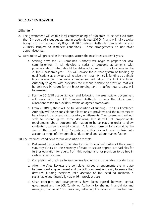#### SKILLS AND EMPLOYMENT

#### Skills (19+)

- 8. The government will enable local commissioning of outcomes to be achieved from the  $19+$  adult skills budget starting in academic year 2016/17; and will fully devolve budgets to the Liverpool City Region (LCR) Combined Authority from academic year 2018/19 (subject to readiness conditions). These arrangements do not cover apprenticeships.
- 9. Devolution will proceed in three stages, across the next three academic years:
	- a. Starting now, the LCR Combined Authority will begin to prepare for local commissioning. It will develop a series of outcome agreements with providers about what should be delivered in return for allocations in the 2016/17 academic year. This will replace the current system of funding by qualifications as providers will receive their total  $19+$  skills funding as a single block allocation. This new arrangement will allow the LCR Combined Authority to agree with providers the mix and balance of provision that will be delivered in return for the block funding, and to define how success will be assessed.
	- b. For the 2017/18 academic year, and following the area review, government will work with the LCR Combined Authority to vary the block grant allocations made to providers, within an agreed framework
	- c. From 2018/19, there will be full devolution of funding. The LCR Combined Authority will be responsible for allocations to providers and the outcomes to be achieved, consistent with statutory entitlements. The government will not seek to second guess these decisions, but it will set proportionate requirements about outcome information to be collected in order to allow students to make informed choices. A funding formula for calculating the size of the grant to local / combined authorities will need to take into account a range of demographic, educational and labour market factors.
- 10.The readiness conditions for full devolution are that:
	- a. Parliament has legislated to enable transfer to local authorities of the current statutory duties on the Secretary of State to secure appropriate facilities for further education for adults from this budget and for provision to be free in certain circumstances
	- b. Completion of the Area Review process leading to a sustainable provider base
	- c. After the Area Reviews are complete, agreed arrangements are in place between central government and the LCR Combined Authority to ensure that devolved funding decisions take account of the need to maintain a sustainable and financially viable  $16+$  provider base
	- d. Clear principles and arrangements have been agreed between central government and the LCR Combined Authority for sharing financial risk and managing failure of 16+ providers, reflecting the balance of devolved and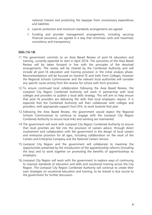national interest and protecting the taxpayer from unnecessary expenditure and liabilities

- e. Learner protection and minimum standards arrangements are agreed
- f. Funding and provider management arrangements, including securing financial assurance, are agreed in a way that minimises costs and maximises consistency and transparency.

#### Skills (16-18)

- 11.The government commits to an Area Based Review of post-16 education and training, currently expected to start in April 2016. The outcomes of the Area Based Review will be taken forward in line with the principles of the devolved arrangements. The review will be chaired by the Combined Authority and will include all post-16 education and training provision in the initial analysis phase. Recommendations will be focused on General FE and Sixth Form Colleges, however the Regional Schools Commissioner and the relevant local authorities will consider any specific issues arising from the reviews for school sixth form provision.
- 12.To ensure continued local collaboration following the Area Based Review, the Liverpool City Region Combined Authority will work in partnership with local colleges and providers to publish a local skills strategy. This will aim to help ensure that post-16 providers are delivering the skills that local employers require. It is expected that the Combined Authority will then collaborate with colleges and providers, with appropriate support from EFA, to work towards that plan.
- 13.Following the Area Based Review, the government would expect the Regional Schools Commissioner to continue to engage with the Liverpool City Region Combined Authority to ensure local links and working are maintained.
- 14.The government will work with Liverpool City Region Combined Authority to ensure that local priorities are fed into the provision of careers advice, through direct involvement and collaboration with the government in the design of local careers and enterprise provision for all ages, including collaboration on the work of the Careers and Enterprise Company and the National Careers Service.
- 15.Liverpool City Region and the government will collaborate to maximise the opportunities presented by the introduction of the apprenticeship reforms (including the levy) and to work together on promoting the benefits of apprenticeships to employers.
- 16.Liverpool City Region will work with the government to explore ways of continuing to improve standards of education and skills and vocational training across the City Region. The Liverpool City Region Combined Authority will continue to create their own strategies on vocational education and training, to be shared in due course to the government for further discussion.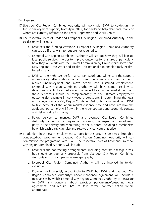#### Employment

- 17.Liverpool City Region Combined Authority will work with DWP to co-design the future employment support, from April 2017, for harder-to-help claimants, many of whom are currently referred to the Work Programme and Work Choice.
- 18.The respective roles of DWP and Liverpool City Region Combined Authority in the co-design will include:
	- a. DWP sets the funding envelope, Liverpool City Region Combined Authority can top up if they wish to, but are not required to.
	- b. Liverpool City Region Combined Authority will set out how they will join up local public services in order to improve outcomes for this group, particularly how they will work with the Clinical Commissioning Groups/third sector and NHS England / the Work and Health Unit nationally to enable timely healthbased support.
	- c. DWP set the high-level performance framework and will ensure the support appropriately reflects labour market issues. The primary outcomes will be to reduce unemployment and move people into sustained employment. Liverpool City Region Combined Authority will have some flexibility to determine specific local outcomes that reflect local labour market priorities, these outcomes should be complementary to the ultimate employment outcome (for example in-work wage progression). In determining the local outcome(s) Liverpool City Region Combined Authority should work with DWP to take account of the labour market evidence base and articulate how the additional outcome(s) will fit within the wider strategic and economic context and deliver value for money.
	- d. Before delivery commences, DWP and Liverpool City Region Combined Authority will set out an agreement covering the respective roles of each party in the delivery and monitoring of the support, including a mechanism by which each party can raise and resolve any concern that arise.
- 19.In addition, in the event employment support for this group is delivered through a contracted-out programme, Liverpool City Region Combined Authority will cocommission the programme with DWP. The respective roles of DWP and Liverpool City Region Combined Authority will include:
	- a. DWP sets the contracting arrangements, including contract package areas, but should consider any proposals from Liverpool City Region Combined Authority on contract package area geography.
	- b. Liverpool City Region Combined Authority will be involved in tender evaluation.
	- c. Providers will be solely accountable to DWP, but DWP and Liverpool City Region Combined Authority's above-mentioned agreement will include a mechanism by which Liverpool City Region Combined Authority can escalate to DWP any concerns about provider performance/breaching local agreements and require DWP to take formal contract action where appropriate.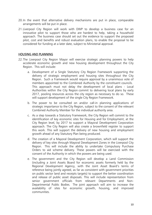- 20.In the event that alternative delivery mechanisms are put in place, comparable arrangements will be put in place.
- 21.Liverpool City Region will work with DWP to develop a business case for an innovative pilot to support those who are hardest to help, taking a household approach. The business case should set out the evidence to support the proposed pilot, cost and benefits and robust evaluation plans, to enable the proposal to be considered for funding at a later date, subject to Ministerial approval.

#### HOUSING AND PLANNING

- 22.The Liverpool City Region Mayor will exercise strategic planning powers to help accelerate economic growth and new housing development throughout the City Region. This will include:
	- a. Development of a Single Statutory City Region Framework supporting the delivery of strategic employment and housing sites throughout the City Region. Such a Framework would require approval by a unanimous vote of members appointed to the Combined Authority by the constituent councils. This approach must not delay the development of local plans - Local Authorities within the City Region commit to delivering local plans by early 2017, pooling resources across the city region as necessary to do so. These will support development of the single City Region Framework.
	- b. The power to be consulted on and/or call-in planning applications of strategic importance to the City Region, subject to the consent of the relevant Combined Authority Member for the individual authority area.
	- c. As a step towards a Statutory Framework, the City Region will commit to the identification of key economic sites for Housing and for Employment, at the City Region level, by 2017 to support a Mayoral Development Corporation approach. The City Region will also create a brownfield register to support this work. This will support the delivery of new housing and employment growth ahead of any Statutory Plan being produced.
	- d. The creation of a Mayoral Development Corporation, which will support the delivery of key sites through Mayoral Development Zones in the Liverpool City Region. This will include the ability to undertake Compulsory Purchase Orders to aid scheme delivery. These powers will be exercised with the consent of the Authority in which the powers are being used.
	- e. The government and the City Region will develop a Land Commission (including a Joint Assets Board for economic assets formerly held by the Regional Development Agency, with the Joint Asset Board's terms of reference being jointly agreed, as far as consistent with government priorities on public sector land and receipts targets) to support the better coordination and release of public asset disposals. This will include representation from senior government officials from relevant Departments and Non-Departmental Public Bodies. The joint approach will aim to increase the availability of sites for economic growth, housing, and improved communities.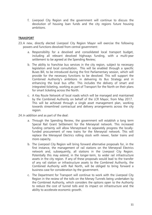f. Liverpool City Region and the government will continue to discuss the devolution of housing loan funds and the city regions future housing ambitions.

#### **TRANSPORT**

- 23.A new, directly elected Liverpool City Region Mayor will exercise the following powers and functions devolved from central government:
	- a. Responsibility for a devolved and consolidated local transport budget, including all relevant devolved highways funding, with a multi-year settlement to be agreed at the Spending Review;
	- b. The ability to franchise bus services in the city region, subject to necessary legislation and local consultation. This will be enabled through a specific Buses Bill, to be introduced during the first Parliamentary session, which will provide for the necessary functions to be devolved. This will support the Combined Authority's ambitions in delivering its Bus Strategy and in enhancing the local bus offer. This includes the delivery of smart and integrated ticketing, working as part of Transport for the North on their plans for smart ticketing across the North.
	- c. A Key Route Network of local roads which will be managed and maintained by the Combined Authority on behalf of the LCR Mayor, from May 2017. This will be achieved through a single asset management plan, working towards streamlined contractual and delivery arrangements across the city region.
- 24.In addition and as part of the deal:
	- a. Through the Spending Review, the government will establish a long term Special Rail Grant Settlement for the Merseyrail network. This increased funding certainty will allow Merseytravel to separately progress the locallyfunded procurement of new trains for the Merseyrail network. This will replace the Merseyrail Electrics rolling stock with newer, faster trains and more capacity.
	- b. The Liverpool City Region will bring forward alternative proposals for, in the first instance, the management of rail stations on the Merseyrail Electrics network and, subsequently, all stations in the Liverpool City Region. Potentially this may extend, in the longer-term, to wider rail infrastructure assets in the city region. If any of these proposals would lead to the transfer of any rail station or infrastructure assets to the Combined Authority, the Combined Authority with Rail North, will be obliged to bring forward a business case for consideration by the government.
	- c. The Department for Transport will continue to work with the Liverpool City Region in the review of the tolls on the Mersey Tunnels being undertaken by the Combined Authority, which considers the options open to the Authority to reduce the cost of tunnel tolls and its impact on infrastructure and the ability to accelerate economic growth.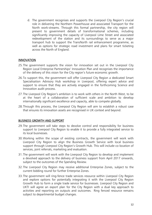d. The government recognises and supports the Liverpool City Region's crucial role in delivering the Northern Powerhouse and associated Transport for the North work-streams. Through this formal partnership, the city region will present to government details of transformational schemes, including significantly improving the capacity of Liverpool Lime Street and associated redevelopment of the station and its surroundings to serve as a major transport hub to support the TransNorth rail enhancement programme, as well as options for strategic road investment and plans for smart ticketing across the North of England.

#### **INNOVATION**

- 25.The government supports the vision for innovation set out in the Liverpool City Region Local Enterprise Partnerships' Innovation Plan and recognises the importance of the delivery of this vision for the City region's future economic growth.
- 26.To support this, the government will offer Liverpool City Region a dedicated Smart Specialisation Advisory Hub workshop in Liverpool, offering expert advice and support to ensure that they are actively engaged in the forthcoming Science and Innovation audit process.
- 27.The Liverpool City Region's ambition is to work with others in the North West, to be at the heart of a collaboration of sufficient scale and ambition to develop internationally significant excellence and capacity, able to compete globally.
- 28.Through this process, the Liverpool City Region will aim to establish a robust case that ensures its innovation assets are recognised in UK context and beyond.

#### BUSINESS GROWTH AND SUPPORT

- 29.The government will take steps to devolve control and responsibility for business support to Liverpool City Region to enable it to provide a fully integrated service to its local businesses.
- 30.Working within the scope of existing contracts, the government will work with Liverpool City Region to align the Business Growth Service with local business support through Liverpool City Region's Growth Hub. This will include co-location of services, joint referrals, marketing and evaluation.
- 31.The government will work with the Liverpool City Region to develop and implement a devolved approach to the delivery of business support from April 2017 onwards, subject to the outcomes of the Spending Review.
- 32.The Liverpool City Region may receive additional Enterprise Zones, subject to the current bidding round for further Enterprise Zones.
- 33.The government will ring-fence trade services resource within Liverpool City Region and explore options for potentially integrating it with the Liverpool City Region Growth Hub to form a single trade service for businesses. Liverpool City Region and UKTI will agree an export plan for the City Region with a dual key approach to activities and reporting on outputs and outcomes. Ring fenced resource remains subject to departmental budget changes.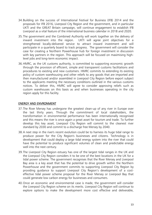- 34.Building on the success of International Festival for Business (IFB) 2014 and the proposals for IFB 2016, Liverpool City Region and the government, and in particular UKTI and the GREAT Britain campaign, will continue engagement to establish IFB Liverpool as a vital feature of the international business calendar in 2018 and 2020.
- 35.The government and the Combined Authority will work together on the delivery of inward investment into the region. UKTI will agree joint objectives for a strengthened locally-delivered service to attract inward investment and will participate in a quarterly board to track progress. The government will consider the case for creating a Northern Powerhouse hub for foreign investment in discussion with key partners in the region. This approach will be focused on maximising highlevel jobs and long-term economic impact.
- 36.HMRC, as the UK customs authority, is committed to supporting economic growth through the provision of efficient, simple and transparent customs facilitations and procedures to existing and new customers. HMRC commits to extending its existing policy of custom warehousing and other reliefs to any goods that are imported and then manufactured and/or assembled in Liverpool City Region before export subject to the applicants meeting the necessary conditions outlined in the various customs notices. To deliver this, HMRC will agree to consider approving reliefs such as custom warehouses on this basis as and when businesses operating in the city region apply for this facility.

#### ENERGY AND ENVRONMENT

- 37.The River Mersey has undergone the greatest clean-up of any river in Europe over the last thirty years. Through the commitment of local stakeholders, the transformation in environmental performance has been internationally recognised and this means the river is once again a great asset for tourism and trade. To further develop this key asset, Liverpool City Region will commit to the cleanest river standard by 2030 and commit to a discharge free Mersey by 2040.
- 38.A next step in the river's recent evolution could be to harness its huge tidal range to produce power for the City Region's businesses and citizens. Technology is in development that could deploy a large tidal energy system into the river that could have the potential to produce significant volumes of clean and predictable energy well into the next century.
- 39.The Liverpool City Region estuary has one of the largest tidal ranges in the UK and the Liverpool City Region considers it to be one of the best locations in the UK for a tidal power scheme. The government recognises that the River Mersey and Liverpool Bay area is a key asset that has the potential to drive growth within the Northern Powerhouse and the government commits to supporting Liverpool City Region by providing guidance to support Liverpool City Region's development of a costeffective tidal power scheme proposal for the River Mersey or Liverpool Bay that could generate low carbon energy for businesses and consumers.
- 40.Once an economic and environmental case is made, the government will consider the Liverpool City Region scheme on its merits. Liverpool City Region will continue to explore options to make the development more cost effective and deliverable,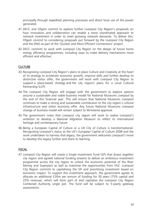principally through expedited planning processes and direct local use of the power generated.

- 41.DECC and Ofgem commit to explore further Liverpool City Region's proposals on how innovation and collaboration can enable a more coordinated approach to network investment in order to meet growing network demands. To deliver this, Ofgem commit to considering proposals put forward by the Liverpool City Region and the DNO as part of the 'Quicker and More Efficient Connections' project.
- 42.DECC commits to work with Liverpool City Region on the design of future home energy efficiency programmes, including ways to make delivery mechanisms more efficient and effective.

#### **CULTURE**

- 43.Recognising Liverpool City Region's plans to place Culture and Creativity at the heart of its strategy to accelerate economic growth, improve skills and further develop its distinctive visitor offer, the government will work with Liverpool City Region to support a place-based strategy and the city region's plans for a Local Cultural Partnership (LCP).
- 44.The Liverpool City Region will engage with the government to explore options around a sustainable and viable business model for National Museums Liverpool by the end of this financial year. This will ensure that National Museums Liverpool continues to make a strong and sustainable contribution to the city region's cultural infrastructure and visitor economy offer. Any future National Museums Liverpool change of business model will remain subject to Ministerial approval.
- 45.The government notes that Liverpool city region will work to realise Liverpool's ambition to develop a *National Migration Museum* to reflect its international heritage and contemporary future.
- 46.Being a European Capital of Culture or a UK City of Culture is transformational. Recognising Liverpool's status as the UK's European Capital of Culture 2008 and the work undertaken to harness that legacy, the government welcomes Liverpool's move to develop this legacy further and share its learning.

### FISCAL

47.Liverpool City Region will create a Single Investment Fund (SIF) that draws together city region and agreed national funding streams to deliver an ambitious investment programme across the city region to unlock the economic potential of the River Mersey and Superport as well as maximise the opportunities from HS2. Liverpool City Region commits to capitalising the SIF and prioritising investment based on economic impact. To support this investment approach, the government agrees to allocate an additional £30m per annum of funding for 30 years (75% capital and 25% revenue), which will form part of and capitalise the Liverpool City Region Combined Authority single pot. The fund will be subject to 5-yearly gateway assessments.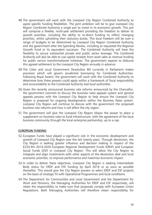- 48.The government will work with the Liverpool City Region Combined Authority to agree specific funding flexibilities. The joint ambition will be to give Liverpool City Region Combined Authority a single pot to invest in its economic growth. This pot will comprise a flexible, multi-year settlement providing the freedom to deliver its growth priorities, including the ability to re-direct funding to reflect changing priorities, whilst upholding their statutory duties. This local freedom will be over a range of budgets to be determined by Liverpool City Region Combined Authority and the government after the Spending Review, including as requested the Regional Growth Fund or its equivalent successor. The Combined Authority will have the flexibility to secure substantial private and public sector leverage. The Combined Authority will also be able to use capital receipts from asset sales as revenue funding for public service transformational initiatives. The government expects to disburse this agreed settlement to the Liverpool City Region annually in advance.
- 49.The Cities and Local Government Devolution Bill currently in Parliament makes provision which will govern prudential borrowing for Combined Authorities. Following Royal Assent, the government will work with the Combined Authority to determine how these powers could apply within a framework of fiscal responsibility and accountability to the Combined Authority and local authorities.
- 50.Given the recently announced business rate reforms announced by the Chancellor, the government commits to discuss the business rates appeals system and general appeals process with the Liverpool City Region to help ensure the Liverpool City Region is prepared for ongoing developments within the Business Rates system. Liverpool City Region will continue to discuss with the government the proposed business rate reforms and how it will affect the city region.
- 51.The government will give the Liverpool City Region Mayor the power to place a supplement on business rates to fund infrastructure, with the agreement of the local business community through the local enterprise partnership, up to a cap.

#### EUROPEAN FUNDING

- 52.European Funds have played a significant role in the economic development and growth of Liverpool City Region over the last twenty years. Through devolution, the City Region is seeking greater influence and decision making in respect of the €220.9m 2014-2020 European Regional Development Funds (ERDF) and European Social Funds (ESF) in Liverpool City Region. This will allow the City Region to integrate and align investments with other aspects of the devolution deal and local economic priorities, to improve performance and maximise economic impact.
- 53.In order to deliver these objectives, Liverpool City Region is seeking Intermediate Body status for ERDF and ESF funding by April 2016 or as soon as possible thereafter. This would give the City Region powers to select ERDF and ESF projects on the basis of strategic fit with Operational Programmes and local conditions.
- 54.The Department for Communities and Local Government and the Department for Work and Pensions, the Managing Authorities for ERDF and ESF respectively, will retain the responsibility to make sure that proposals comply with European Union Regulations. Both Managing Authorities will therefore retain responsibility for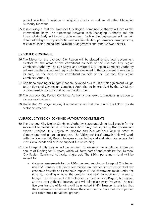project selection in relation to eligibility checks as well as all other Managing Authority functions.

55.It is envisaged that the Liverpool City Region Combined Authority will act as the Intermediate Body. The agreement between each Managing Authority and the Intermediate Body will be set out in writing. Each written agreement will contain details of delegated responsibilities and accountabilities, performance arrangements, resources, their funding and payment arrangements and other relevant details.

#### UNDER THIS GEOGRAPHY:

- 56.The Mayor for the Liverpool City Region will be elected by the local government electors for the areas of the constituent councils of the Liverpool City Region Combined Authority. The LCR Mayor and Liverpool City Region Combined Authority will exercise the powers and responsibilities described in this document in relation to its area, i.e. the area of the constituent councils of the Liverpool City Region Combined Authority.
- 57.Additional funding or budgets that are devolved as a result of this agreement will go to the Liverpool City Region Combined Authority, to be exercised by the LCR Mayor or Combined Authority as set out in this document.
- 58.The Liverpool City Region Combined Authority must exercise functions in relation to its geographical area.
- 59.Under the LCR Mayor model, it is not expected that the role of the LEP or private sector be lessened.

#### LIVERPOOL CITY REGION COMBINED AUTHORITY COMMITMENTS

- 60.The Liverpool City Region Combined Authority is accountable to local people for the successful implementation of the devolution deal; consequently, the government expects Liverpool City Region to monitor and evaluate their deal in order to demonstrate and report on progress. The Cities and Local Growth Unit will work with the Liverpool City Region to agree a monitoring and evaluation framework that meets local needs and helps to support future learning.
- 61.The Liverpool City Region will be required to evaluate the additional £30m per annum of funding for 30 years, which will form part of and capitalise the Liverpool City Region Combined Authority single pot. The £30m per annum fund will be subject to:
	- a. Gateway assessments for the £30m per annum scheme. Liverpool City Region and HM Treasury will jointly commission an independent assessment of the economic benefits and economic impact of the investments made under the scheme, including whether the projects have been delivered on time and to budget. This assessment will be funded by Liverpool City Region, but agreed at the outset with HM Treasury, and will take place every five years. The next five year tranche of funding will be unlocked if HM Treasury is satisfied that the independent assessment shows the investment to have met the objectives and contributed to national growth;